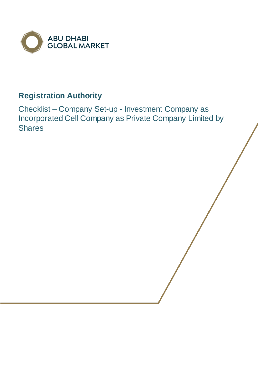

# **Registration Authority**

Checklist – Company Set-up - Investment Company as Incorporated Cell Company as Private Company Limited by **Shares**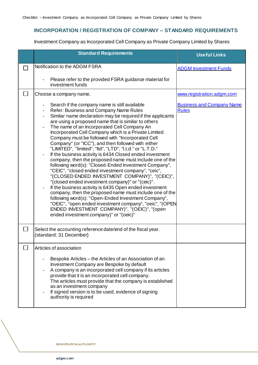## **INCORPORATION / REGISTRATION OF COMPANY – STANDARD REQUIREMENTS**

Investment Company as Incorporated Cell Company as Private Company Limited by Shares

|        | <b>Standard Requirements</b>                                                                                                                                                                                                                                                                                                                                                                                                                                                                                                                                                                                                                                                                                                                                                                                                                                                                                                                                                                                                                                                                                                                                                             | <b>Useful Links</b>                              |
|--------|------------------------------------------------------------------------------------------------------------------------------------------------------------------------------------------------------------------------------------------------------------------------------------------------------------------------------------------------------------------------------------------------------------------------------------------------------------------------------------------------------------------------------------------------------------------------------------------------------------------------------------------------------------------------------------------------------------------------------------------------------------------------------------------------------------------------------------------------------------------------------------------------------------------------------------------------------------------------------------------------------------------------------------------------------------------------------------------------------------------------------------------------------------------------------------------|--------------------------------------------------|
|        | Notification to the ADGM FSRA                                                                                                                                                                                                                                                                                                                                                                                                                                                                                                                                                                                                                                                                                                                                                                                                                                                                                                                                                                                                                                                                                                                                                            | <b>ADGM Investment Funds</b>                     |
|        | Please refer to the provided FSRA guidance material for<br>investment funds                                                                                                                                                                                                                                                                                                                                                                                                                                                                                                                                                                                                                                                                                                                                                                                                                                                                                                                                                                                                                                                                                                              |                                                  |
| $\Box$ | Choose a company name.                                                                                                                                                                                                                                                                                                                                                                                                                                                                                                                                                                                                                                                                                                                                                                                                                                                                                                                                                                                                                                                                                                                                                                   | www.registration.adgm.com                        |
|        | Search if the company name is still available<br>Refer: Business and Company Name Rules<br>Similar name declaration may be required if the applicants<br>$\blacksquare$<br>are using a proposed name that is similar to others<br>The name of an Incorporated Cell Company An<br>Incorporated Cell Company which is a Private Limited<br>Company must be followed with "Incorporated Cell<br>Company" (or "ICC"), and then followed with either<br>"LIMITED", "limited", "ltd", "LTD", "l.t.d." or "L.T.D."<br>If the business activity is 6434 Closed ended investment<br>company, then the proposed name must include one of the<br>following word(s): "Closed-Ended Investment Company",<br>"CEIC", "closed ended investment company", "ceic",<br>"(CLOSED ENDED INVESTMENT COMPANY)", "(CEIC)",<br>"(closed ended investment company)" or "(ceic)".<br>If the business activity is 6435 Open ended investment<br>company, then the proposed name must include one of the<br>following word(s): "Open-Ended Investment Company",<br>"OEIC", "open ended investment company", "oeic", "(OPEN<br>ENDED INVESTMENT COMPANY)", "(OEIC)", "(open<br>ended investment company)" or "(oeic)" | <b>Business and Company Name</b><br><b>Rules</b> |
| $\Box$ | Select the accounting reference date/end of the fiscal year.<br>(standard: 31 December)                                                                                                                                                                                                                                                                                                                                                                                                                                                                                                                                                                                                                                                                                                                                                                                                                                                                                                                                                                                                                                                                                                  |                                                  |
|        | Articles of association                                                                                                                                                                                                                                                                                                                                                                                                                                                                                                                                                                                                                                                                                                                                                                                                                                                                                                                                                                                                                                                                                                                                                                  |                                                  |
|        | Bespoke Articles - the Articles of an Association of an<br>Investment Company are Bespoke by default<br>A company is an incorporated cell company if its articles<br>provide that it is an incorporated cell company.<br>The articles must provide that the company is established<br>as an investment company<br>If signed version is to be used, evidence of signing<br>authority is required                                                                                                                                                                                                                                                                                                                                                                                                                                                                                                                                                                                                                                                                                                                                                                                          |                                                  |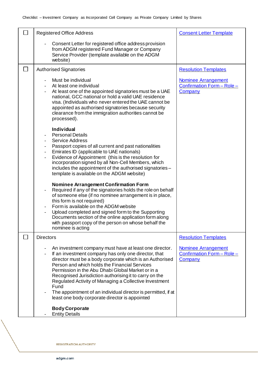|        | <b>Registered Office Address</b>                                                                                                                                                                                                                                                                                                                                                                                                                                                                                                | <b>Consent Letter Template</b>                                      |
|--------|---------------------------------------------------------------------------------------------------------------------------------------------------------------------------------------------------------------------------------------------------------------------------------------------------------------------------------------------------------------------------------------------------------------------------------------------------------------------------------------------------------------------------------|---------------------------------------------------------------------|
|        | Consent Letter for registered office address provision<br>from ADGM registered Fund Manager or Company<br>Service Provider (template available on the ADGM<br>website)                                                                                                                                                                                                                                                                                                                                                          |                                                                     |
| $\sim$ | <b>Authorised Signatories</b>                                                                                                                                                                                                                                                                                                                                                                                                                                                                                                   | <b>Resolution Templates</b>                                         |
|        | Must be individual<br>At least one individual<br>At least one of the appointed signatories must be a UAE<br>national, GCC national or hold a valid UAE residence<br>visa. (Individuals who never entered the UAE cannot be<br>appointed as authorised signatories because security<br>clearance from the immigration authorities cannot be<br>processed).                                                                                                                                                                       | <b>Nominee Arrangement</b><br>Confirmation Form - Role -<br>Company |
|        | <b>Individual</b><br><b>Personal Details</b><br><b>Service Address</b><br>Passport copies of all current and past nationalities<br>Emirates ID (applicable to UAE nationals)<br>Evidence of Appointment (this is the resolution for<br>incorporation signed by all Non-Cell Members, which<br>includes the appointment of the authorised signatories -<br>template is available on the ADGM website)                                                                                                                            |                                                                     |
|        | <b>Nominee Arrangement Confirmation Form</b><br>Required if any of the signatories holds the role on behalf<br>of someone else (if no nominee arrangement is in place,<br>this form is not required)<br>Form is available on the ADGM website<br>Upload completed and signed form to the Supporting<br>Documents section of the online application form along<br>with passport copy of the person on whose behalf the<br>nominee is acting                                                                                      |                                                                     |
|        | <b>Directors</b>                                                                                                                                                                                                                                                                                                                                                                                                                                                                                                                | <b>Resolution Templates</b>                                         |
|        | An investment company must have at least one director.<br>If an investment company has only one director, that<br>director must be a body corporate which is an Authorised<br>Person and which holds the Financial Services<br>Permission in the Abu Dhabi Global Market or in a<br>Recognised Jurisdiction authorising it to carry on the<br>Regulated Activity of Managing a Collective Investment<br>Fund<br>The appointment of an individual director is permitted, if at<br>least one body corporate director is appointed | <b>Nominee Arrangement</b><br>Confirmation Form - Role -<br>Company |
|        | <b>Body Corporate</b><br><b>Entity Details</b>                                                                                                                                                                                                                                                                                                                                                                                                                                                                                  |                                                                     |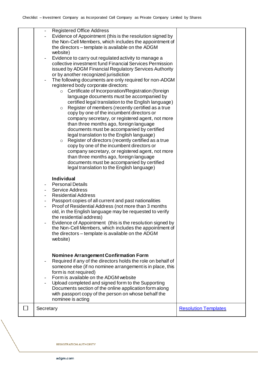|              | <b>Registered Office Address</b><br>Evidence of Appointment (this is the resolution signed by<br>the Non-Cell Members, which includes the appointment of<br>the directors – template is available on the ADGM<br>website)<br>Evidence to carry out regulated activity to manage a<br>$\overline{\phantom{a}}$<br>collective investment fund Financial Services Permission<br>issued by ADGM Financial Regulatory Services Authority<br>or by another recognized jurisdiction<br>The following documents are only required for non-ADGM<br>registered body corporate directors:<br>○ Certificate of Incorporation/Registration (foreign<br>language documents must be accompanied by<br>certified legal translation to the English language)<br>Register of members (recently certified as a true<br>$\circ$<br>copy by one of the incumbent directors or<br>company secretary, or registered agent, not more<br>than three months ago, foreign language<br>documents must be accompanied by certified<br>legal translation to the English language)<br>Register of directors (recently certified as a true<br>$\circ$<br>copy by one of the incumbent directors or<br>company secretary, or registered agent, not more<br>than three months ago, foreign language |                             |
|--------------|-------------------------------------------------------------------------------------------------------------------------------------------------------------------------------------------------------------------------------------------------------------------------------------------------------------------------------------------------------------------------------------------------------------------------------------------------------------------------------------------------------------------------------------------------------------------------------------------------------------------------------------------------------------------------------------------------------------------------------------------------------------------------------------------------------------------------------------------------------------------------------------------------------------------------------------------------------------------------------------------------------------------------------------------------------------------------------------------------------------------------------------------------------------------------------------------------------------------------------------------------------------------|-----------------------------|
|              | documents must be accompanied by certified<br>legal translation to the English language)<br><b>Individual</b><br><b>Personal Details</b><br><b>Service Address</b><br><b>Residential Address</b><br>Passport copies of all current and past nationalities<br>$\overline{\phantom{a}}$<br>Proof of Residential Address (not more than 3 months<br>$\overline{\phantom{a}}$<br>old, in the English language may be requested to verify<br>the residential address)<br>Evidence of Appointment (this is the resolution signed by<br>the Non-Cell Members, which includes the appointment of<br>the directors - template is available on the ADGM<br>website)<br><b>Nominee Arrangement Confirmation Form</b><br>Required if any of the directors holds the role on behalf of<br>someone else (if no nominee arrangement is in place, this<br>form is not required)<br>Form is available on the ADGM website<br>Upload completed and signed form to the Supporting<br>Documents section of the online application form along<br>with passport copy of the person on whose behalf the<br>nominee is acting                                                                                                                                                             |                             |
| $\mathbf{I}$ | Secretary                                                                                                                                                                                                                                                                                                                                                                                                                                                                                                                                                                                                                                                                                                                                                                                                                                                                                                                                                                                                                                                                                                                                                                                                                                                         | <b>Resolution Templates</b> |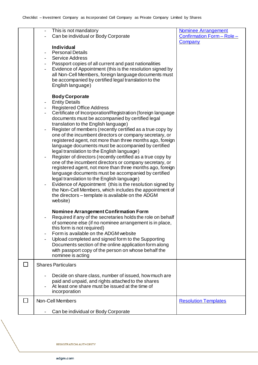| This is not mandatory                                                                 | <b>Nominee Arrangement</b>  |
|---------------------------------------------------------------------------------------|-----------------------------|
| Can be individual or Body Corporate                                                   | Confirmation Form - Role -  |
|                                                                                       | Company                     |
| <b>Individual</b>                                                                     |                             |
| <b>Personal Details</b>                                                               |                             |
| <b>Service Address</b>                                                                |                             |
| Passport copies of all current and past nationalities                                 |                             |
|                                                                                       |                             |
| Evidence of Appointment (this is the resolution signed by                             |                             |
| all Non-Cell Members, foreign language documents must                                 |                             |
| be accompanied by certified legal translation to the                                  |                             |
| English language)                                                                     |                             |
|                                                                                       |                             |
| <b>Body Corporate</b>                                                                 |                             |
| <b>Entity Details</b>                                                                 |                             |
| <b>Registered Office Address</b>                                                      |                             |
| Certificate of Incorporation/Registration (foreign language                           |                             |
| documents must be accompanied by certified legal                                      |                             |
| translation to the English language)                                                  |                             |
| Register of members (recently certified as a true copy by                             |                             |
|                                                                                       |                             |
| one of the incumbent directors or company secretary, or                               |                             |
| registered agent, not more than three months ago, foreign                             |                             |
| language documents must be accompanied by certified                                   |                             |
| legal translation to the English language)                                            |                             |
| Register of directors (recently certified as a true copy by                           |                             |
| one of the incumbent directors or company secretary, or                               |                             |
| registered agent, not more than three months ago, foreign                             |                             |
| language documents must be accompanied by certified                                   |                             |
| legal translation to the English language)                                            |                             |
| Evidence of Appointment (this is the resolution signed by<br>$\overline{\phantom{a}}$ |                             |
| the Non-Cell Members, which includes the appointment of                               |                             |
|                                                                                       |                             |
| the directors – template is available on the ADGM                                     |                             |
| website)                                                                              |                             |
|                                                                                       |                             |
| <b>Nominee Arrangement Confirmation Form</b>                                          |                             |
| Required if any of the secretaries holds the role on behalf                           |                             |
| of someone else (if no nominee arrangement is in place,                               |                             |
| this form is not required)                                                            |                             |
| Form is available on the ADGM website                                                 |                             |
| Upload completed and signed form to the Supporting                                    |                             |
| Documents section of the online application form along                                |                             |
| with passport copy of the person on whose behalf the                                  |                             |
| nominee is acting                                                                     |                             |
|                                                                                       |                             |
| <b>Shares Particulars</b>                                                             |                             |
|                                                                                       |                             |
| Decide on share class, number of issued, how much are                                 |                             |
| paid and unpaid, and rights attached to the shares                                    |                             |
| At least one share must be issued at the time of                                      |                             |
| incorporation                                                                         |                             |
|                                                                                       |                             |
| Non-Cell Members                                                                      | <b>Resolution Templates</b> |
|                                                                                       |                             |
| Can be individual or Body Corporate                                                   |                             |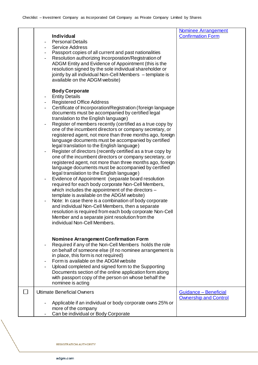#### [Nominee Arrangement](https://www.adgm.com/registration-authority/registration-and-incorporation)  [Confirmation Form](https://www.adgm.com/registration-authority/registration-and-incorporation) **Individual** Personal Details Service Address Passport copies of all current and past nationalities Resolution authorizing Incorporation/Registration of ADGM Entity and Evidence of Appointment (this is the resolution signed by the sole individual shareholder or jointly by all individual Non-Cell Members – template is available on the ADGM website) **Body Corporate Entity Details** Registered Office Address Certificate of Incorporation/Registration (foreign language documents must be accompanied by certified legal translation to the English language) Register of members recently (certified as a true copy by one of the incumbent directors or company secretary, or registered agent, not more than three months ago, foreign language documents must be accompanied by certified legal translation to the English language) Register of directors (recently certified as a true copy by one of the incumbent directors or company secretary, or registered agent, not more than three months ago, foreign language documents must be accompanied by certified legal translation to the English language) Evidence of Appointment (separate board resolution required for each body corporate Non-Cell Members, which includes the appointment of the directors – template is available on the ADGM website) Note: In case there is a combination of body corporate and individual Non-Cell Members, then a separate resolution is required from each body corporate Non-Cell Member and a separate joint resolution from the individual Non-Cell Members. **Nominee Arrangement Confirmation Form** Required if any of the Non-Cell Members holds the role on behalf of someone else (if no nominee arrangement is in place, this form is not required) Form is available on the ADGM website Upload completed and signed form to the Supporting Documents section of the online application form along with passport copy of the person on whose behalf the nominee is acting П Ultimate Beneficial Owners [Guidance –](https://www.adgm.com/registration-authority/registration-and-incorporation) Beneficial [Ownership and Control](https://www.adgm.com/registration-authority/registration-and-incorporation)- Applicable if an individual or body corporate owns 25% or more of the company Can be individual or Body Corporate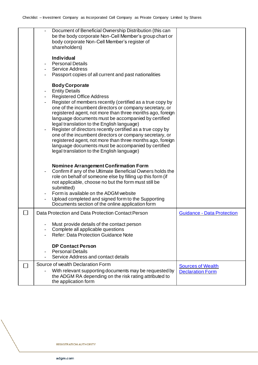| Document of Beneficial Ownership Distribution (this can<br>be the body corporate Non-Cell Member's group chart or<br>body corporate Non-Cell Member's register of<br>shareholders) |                                   |
|------------------------------------------------------------------------------------------------------------------------------------------------------------------------------------|-----------------------------------|
| <b>Individual</b>                                                                                                                                                                  |                                   |
| <b>Personal Details</b>                                                                                                                                                            |                                   |
| <b>Service Address</b>                                                                                                                                                             |                                   |
| Passport copies of all current and past nationalities                                                                                                                              |                                   |
| <b>Body Corporate</b>                                                                                                                                                              |                                   |
| <b>Entity Details</b>                                                                                                                                                              |                                   |
| <b>Registered Office Address</b>                                                                                                                                                   |                                   |
| Register of members recently (certified as a true copy by                                                                                                                          |                                   |
| one of the incumbent directors or company secretary, or                                                                                                                            |                                   |
| registered agent, not more than three months ago, foreign                                                                                                                          |                                   |
| language documents must be accompanied by certified                                                                                                                                |                                   |
| legal translation to the English language)                                                                                                                                         |                                   |
| Register of directors recently certified as a true copy by<br>one of the incumbent directors or company secretary, or                                                              |                                   |
| registered agent, not more than three months ago, foreign                                                                                                                          |                                   |
| language documents must be accompanied by certified                                                                                                                                |                                   |
| legal translation to the English language)                                                                                                                                         |                                   |
|                                                                                                                                                                                    |                                   |
|                                                                                                                                                                                    |                                   |
| <b>Nominee Arrangement Confirmation Form</b>                                                                                                                                       |                                   |
| Confirm if any of the Ultimate Beneficial Owners holds the                                                                                                                         |                                   |
| role on behalf of someone else by filling up this form (if                                                                                                                         |                                   |
| not applicable, choose no but the form must still be                                                                                                                               |                                   |
| submitted)<br>Form is available on the ADGM website                                                                                                                                |                                   |
|                                                                                                                                                                                    |                                   |
| Upload completed and signed form to the Supporting<br>Documents section of the online application form                                                                             |                                   |
|                                                                                                                                                                                    |                                   |
| Data Protection and Data Protection Contact Person                                                                                                                                 | <b>Guidance - Data Protection</b> |
|                                                                                                                                                                                    |                                   |
| Must provide details of the contact person                                                                                                                                         |                                   |
| Complete all applicable questions<br><b>Refer: Data Protection Guidance Note</b>                                                                                                   |                                   |
|                                                                                                                                                                                    |                                   |
| <b>DP Contact Person</b>                                                                                                                                                           |                                   |
| <b>Personal Details</b>                                                                                                                                                            |                                   |
| Service Address and contact details                                                                                                                                                |                                   |
| Source of wealth Declaration Form                                                                                                                                                  | <b>Sources of Wealth</b>          |
| With relevant supporting documents may be requested by                                                                                                                             | <b>Declaration Form</b>           |
| the ADGM RA depending on the risk rating attributed to                                                                                                                             |                                   |
| the application form                                                                                                                                                               |                                   |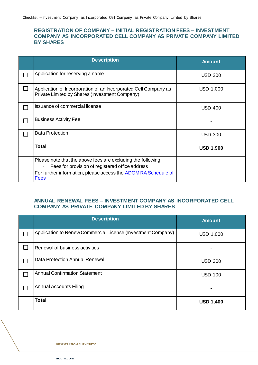### **REGISTRATION OF COMPANY – INITIAL REGISTRATION FEES – INVESTMENT COMPANY AS INCORPORATED CELL COMPANY AS PRIVATE COMPANY LIMITED BY SHARES**

| <b>Description</b>                                                                                                | <b>Amount</b>    |
|-------------------------------------------------------------------------------------------------------------------|------------------|
| Application for reserving a name                                                                                  | <b>USD 200</b>   |
| Application of Incorporation of an Incorporated Cell Company as<br>Private Limited by Shares (Investment Company) | <b>USD 1,000</b> |
| <b>Issuance of commercial license</b>                                                                             | <b>USD 400</b>   |
| <b>Business Activity Fee</b>                                                                                      |                  |
| <b>Data Protection</b>                                                                                            | <b>USD 300</b>   |
| <b>Total</b>                                                                                                      | <b>USD 1,900</b> |
| Please note that the above fees are excluding the following:<br>Fees for provision of registered office address   |                  |
| For further information, please access the <b>ADGM RA Schedule of</b><br><b>Fees</b>                              |                  |

## **ANNUAL RENEWAL FEES – INVESTMENT COMPANY AS INCORPORATED CELL COMPANY AS PRIVATE COMPANY LIMITED BY SHARES**

| <b>Description</b>                                           | <b>Amount</b>    |
|--------------------------------------------------------------|------------------|
| Application to Renew Commercial License (Investment Company) | <b>USD 1,000</b> |
| Renewal of business activities                               |                  |
| Data Protection Annual Renewal                               | <b>USD 300</b>   |
| <b>Annual Confirmation Statement</b>                         | <b>USD 100</b>   |
| <b>Annual Accounts Filing</b>                                |                  |
| <b>Total</b>                                                 | <b>USD 1,400</b> |